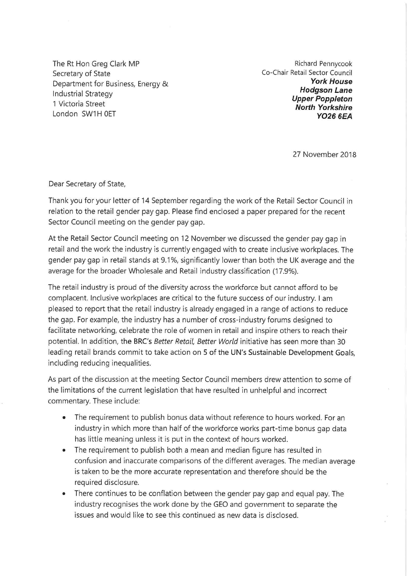The Rt Hon Greg Clark MP Secretary of State Department for Business, Energy & **Industrial Strategy** 1 Victoria Street London SW1H 0ET

Richard Pennycook Co-Chair Retail Sector Council **York House Hodgson Lane Upper Poppleton North Yorkshire YO26 6FA** 

27 November 2018

Dear Secretary of State,

Thank you for your letter of 14 September regarding the work of the Retail Sector Council in relation to the retail gender pay gap. Please find enclosed a paper prepared for the recent Sector Council meeting on the gender pay gap.

At the Retail Sector Council meeting on 12 November we discussed the gender pay gap in retail and the work the industry is currently engaged with to create inclusive workplaces. The gender pay gap in retail stands at 9.1%, significantly lower than both the UK average and the average for the broader Wholesale and Retail industry classification (17.9%).

The retail industry is proud of the diversity across the workforce but cannot afford to be complacent. Inclusive workplaces are critical to the future success of our industry. I am pleased to report that the retail industry is already engaged in a range of actions to reduce the gap. For example, the industry has a number of cross-industry forums designed to facilitate networking, celebrate the role of women in retail and inspire others to reach their potential. In addition, the BRC's Better Retail, Better World initiative has seen more than 30 leading retail brands commit to take action on 5 of the UN's Sustainable Development Goals, including reducing inequalities.

As part of the discussion at the meeting Sector Council members drew attention to some of the limitations of the current legislation that have resulted in unhelpful and incorrect commentary. These include:

- The requirement to publish bonus data without reference to hours worked. For an  $\ddot{\bullet}$ industry in which more than half of the workforce works part-time bonus gap data has little meaning unless it is put in the context of hours worked.
- The requirement to publish both a mean and median figure has resulted in  $\bullet$ confusion and inaccurate comparisons of the different averages. The median average is taken to be the more accurate representation and therefore should be the required disclosure.
- There continues to be conflation between the gender pay gap and equal pay. The  $\bullet$ industry recognises the work done by the GEO and government to separate the issues and would like to see this continued as new data is disclosed.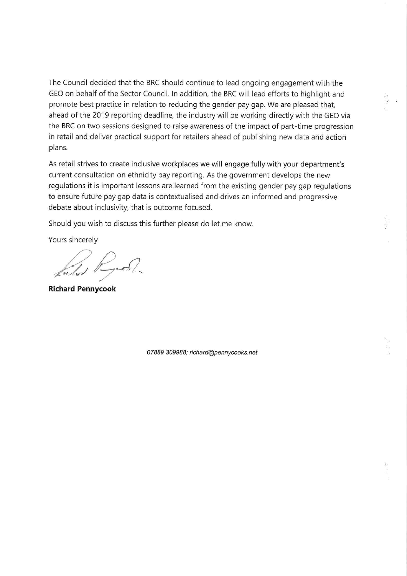The Council decided that the BRC should continue to lead ongoing engagement with the GEO on behalf of the Sector Council. In addition, the BRC will lead efforts to highlight and promote best practice in relation to reducing the gender pay gap. We are pleased that, ahead of the 2019 reporting deadline, the industry will be working directly with the GEO via the BRC on two sessions designed to raise awareness of the impact of part-time progression in retail and deliver practical support for retailers ahead of publishing new data and action plans.

As retail strives to create inclusive workplaces we will engage fully with your department's current consultation on ethnicity pay reporting. As the government develops the new regulations it is important lessons are learned from the existing gender pay gap regulations to ensure future pay gap data is contextualised and drives an informed and progressive debate about inclusivity, that is outcome focused.

Should you wish to discuss this further please do let me know.

Yours sincerely

West River

**Richard Pennycook** 

07889 309988; richard@pennycooks.net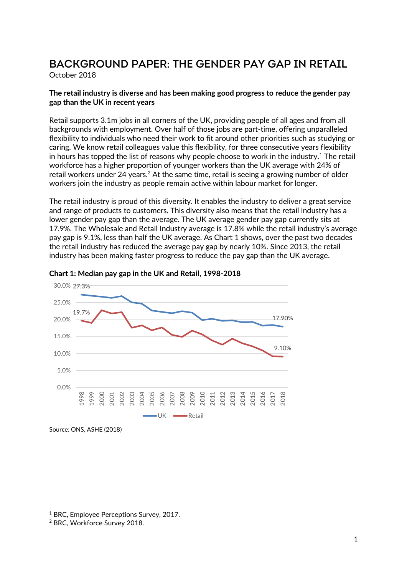# **Background Paper: The Gender pay gap in retail**

October 2018

# **The retail industry is diverse and has been making good progress to reduce the gender pay gap than the UK in recent years**

Retail supports 3.1m jobs in all corners of the UK, providing people of all ages and from all backgrounds with employment. Over half of those jobs are part-time, offering unparalleled flexibility to individuals who need their work to fit around other priorities such as studying or caring. We know retail colleagues value this flexibility, for three consecutive years flexibility in hours has topped the list of reasons why people choose to work in the industry.<sup>1</sup> The retail workforce has a higher proportion of younger workers than the UK average with 24% of retail workers under 24 years.<sup>2</sup> At the same time, retail is seeing a growing number of older workers join the industry as people remain active within labour market for longer.

The retail industry is proud of this diversity. It enables the industry to deliver a great service and range of products to customers. This diversity also means that the retail industry has a lower gender pay gap than the average. The UK average gender pay gap currently sits at 17.9%. The Wholesale and Retail Industry average is 17.8% while the retail industry's average pay gap is 9.1%, less than half the UK average. As Chart 1 shows, over the past two decades the retail industry has reduced the average pay gap by nearly 10%. Since 2013, the retail industry has been making faster progress to reduce the pay gap than the UK average.



#### **Chart 1: Median pay gap in the UK and Retail, 1998-2018**

l

<sup>&</sup>lt;sup>1</sup> BRC, Employee Perceptions Survey, 2017.

<sup>2</sup> BRC, Workforce Survey 2018.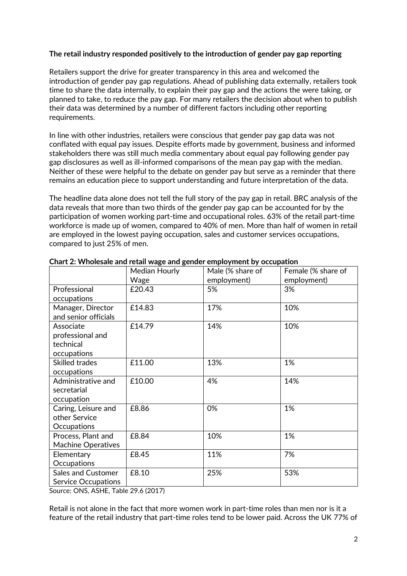# **The retail industry responded positively to the introduction of gender pay gap reporting**

Retailers support the drive for greater transparency in this area and welcomed the introduction of gender pay gap regulations. Ahead of publishing data externally, retailers took time to share the data internally, to explain their pay gap and the actions the were taking, or planned to take, to reduce the pay gap. For many retailers the decision about when to publish their data was determined by a number of different factors including other reporting requirements.

In line with other industries, retailers were conscious that gender pay gap data was not conflated with equal pay issues. Despite efforts made by government, business and informed stakeholders there was still much media commentary about equal pay following gender pay gap disclosures as well as ill-informed comparisons of the mean pay gap with the median. Neither of these were helpful to the debate on gender pay but serve as a reminder that there remains an education piece to support understanding and future interpretation of the data.

The headline data alone does not tell the full story of the pay gap in retail. BRC analysis of the data reveals that more than two thirds of the gender pay gap can be accounted for by the participation of women working part-time and occupational roles. 63% of the retail part-time workforce is made up of women, compared to 40% of men. More than half of women in retail are employed in the lowest paying occupation, sales and customer services occupations, compared to just 25% of men.

|                                                           | Median Hourly<br>Wage | Male (% share of<br>employment) | Female (% share of<br>employment) |
|-----------------------------------------------------------|-----------------------|---------------------------------|-----------------------------------|
| Professional<br>occupations                               | £20.43                | 5%                              | 3%                                |
| Manager, Director<br>and senior officials                 | £14.83                | 17%                             | 10%                               |
| Associate<br>professional and<br>technical<br>occupations | £14.79                | 14%                             | 10%                               |
| <b>Skilled trades</b><br>occupations                      | £11.00                | 13%                             | 1%                                |
| Administrative and<br>secretarial<br>occupation           | £10.00                | 4%                              | 14%                               |
| Caring, Leisure and<br>other Service<br>Occupations       | £8.86                 | 0%                              | 1%                                |
| Process, Plant and<br><b>Machine Operatives</b>           | £8.84                 | 10%                             | 1%                                |
| Elementary<br>Occupations                                 | £8.45                 | 11%                             | 7%                                |
| Sales and Customer<br><b>Service Occupations</b>          | £8.10                 | 25%                             | 53%                               |

**Chart 2: Wholesale and retail wage and gender employment by occupation** 

Source: ONS, ASHE, Table 29.6 (2017)

Retail is not alone in the fact that more women work in part-time roles than men nor is it a feature of the retail industry that part-time roles tend to be lower paid. Across the UK 77% of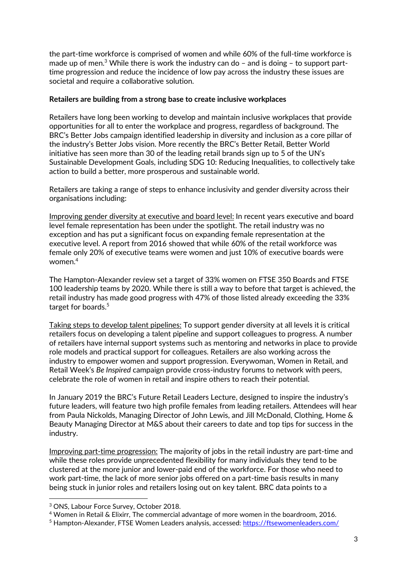the part-time workforce is comprised of women and while 60% of the full-time workforce is made up of men.<sup>3</sup> While there is work the industry can do  $-$  and is doing  $-$  to support parttime progression and reduce the incidence of low pay across the industry these issues are societal and require a collaborative solution.

### **Retailers are building from a strong base to create inclusive workplaces**

Retailers have long been working to develop and maintain inclusive workplaces that provide opportunities for all to enter the workplace and progress, regardless of background. The BRC's Better Jobs campaign identified leadership in diversity and inclusion as a core pillar of the industry's Better Jobs vision. More recently the BRC's Better Retail, Better World initiative has seen more than 30 of the leading retail brands sign up to 5 of the UN's Sustainable Development Goals, including SDG 10: Reducing Inequalities, to collectively take action to build a better, more prosperous and sustainable world.

Retailers are taking a range of steps to enhance inclusivity and gender diversity across their organisations including:

Improving gender diversity at executive and board level: In recent years executive and board level female representation has been under the spotlight. The retail industry was no exception and has put a significant focus on expanding female representation at the executive level. A report from 2016 showed that while 60% of the retail workforce was female only 20% of executive teams were women and just 10% of executive boards were women.<sup>4</sup>

The Hampton-Alexander review set a target of 33% women on FTSE 350 Boards and FTSE 100 leadership teams by 2020. While there is still a way to before that target is achieved, the retail industry has made good progress with 47% of those listed already exceeding the 33% target for boards.<sup>5</sup>

Taking steps to develop talent pipelines: To support gender diversity at all levels it is critical retailers focus on developing a talent pipeline and support colleagues to progress. A number of retailers have internal support systems such as mentoring and networks in place to provide role models and practical support for colleagues. Retailers are also working across the industry to empower women and support progression. Everywoman, Women in Retail, and Retail Week's *Be Inspired* campaign provide cross-industry forums to network with peers, celebrate the role of women in retail and inspire others to reach their potential.

In January 2019 the BRC's Future Retail Leaders Lecture, designed to inspire the industry's future leaders, will feature two high profile females from leading retailers. Attendees will hear from Paula Nickolds, Managing Director of John Lewis, and Jill McDonald, Clothing, Home & Beauty Managing Director at M&S about their careers to date and top tips for success in the industry.

Improving part-time progression: The majority of jobs in the retail industry are part-time and while these roles provide unprecedented flexibility for many individuals they tend to be clustered at the more junior and lower-paid end of the workforce. For those who need to work part-time, the lack of more senior jobs offered on a part-time basis results in many being stuck in junior roles and retailers losing out on key talent. BRC data points to a

l

<sup>3</sup> ONS, Labour Force Survey, October 2018.

<sup>4</sup> Women in Retail & Elixirr, The commercial advantage of more women in the boardroom, 2016.

<sup>&</sup>lt;sup>5</sup> Hampton-Alexander, FTSE Women Leaders analysis, accessed: <https://ftsewomenleaders.com/>